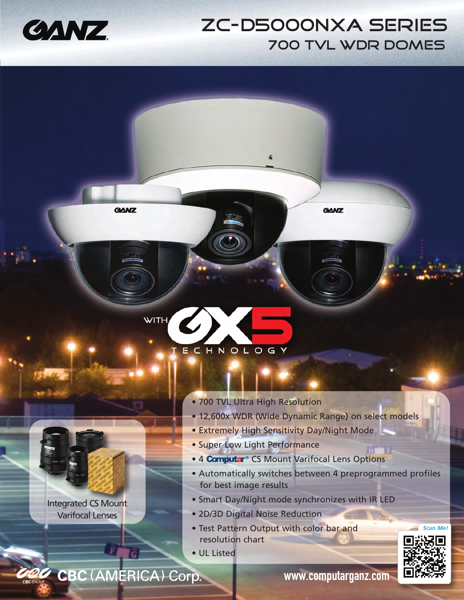

## ZC-D5000NXA SERIES 700 TVL WDR DOMES

**GANZ** 



- 700 TVL Ultra High Resolution
- 12,600x WDR (Wide Dynamic Range) on select models
- Extremely High Sensitivity Day/Night Mode
- Super Low Light Performance
- 4 Computar® CS Mount Varifocal Lens Options
- Automatically switches between 4 preprogrammed profiles for best image results
- Smart Day/Night mode synchronizes with IR LED
- 2D/3D Digital Noise Reduction
- Test Pattern Output with color bar and resolution chart
- UL Listed

CBC (AMERICA) Corp.

 $\bar{F}$ 

**GANZ** 

Integrated CS Mount Varifocal Lenses

www.computarganz.com



*Scan Me!*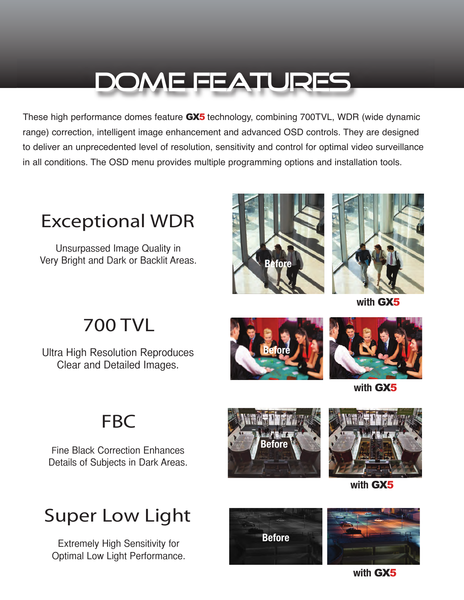# DOME FEATURES

These high performance domes feature GX5 technology, combining 700TVL, WDR (wide dynamic range) correction, intelligent image enhancement and advanced OSD controls. They are designed to deliver an unprecedented level of resolution, sensitivity and control for optimal video surveillance in all conditions. The OSD menu provides multiple programming options and installation tools.



Unsurpassed Image Quality in Very Bright and Dark or Backlit Areas.





**with** GX5

## 700 TVL

Ultra High Resolution Reproduces Clear and Detailed Images.





**with** GX5

## **FBC**

Fine Black Correction Enhances Details of Subjects in Dark Areas.





**with** GX5

# Super Low Light

Extremely High Sensitivity for Optimal Low Light Performance.

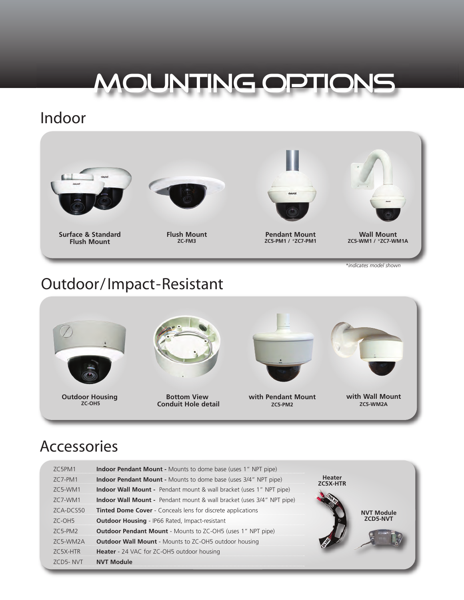# MOUNTING OPTIONS

### Indoor



Outdoor/Impact-Resistant



## Accessories

| 7C5PM1      | <b>Indoor Pendant Mount -</b> Mounts to dome base (uses 1" NPT pipe)       |                           |                   |
|-------------|----------------------------------------------------------------------------|---------------------------|-------------------|
| $7C$ 7-PM1  | <b>Indoor Pendant Mount -</b> Mounts to dome base (uses 3/4" NPT pipe)     | <b>Heater</b><br>ZC5X-HTR |                   |
| 7C5-WM1     | <b>Indoor Wall Mount -</b> Pendant mount & wall bracket (uses 1" NPT pipe) |                           |                   |
| 7C7-WM1     | Indoor Wall Mount - Pendant mount & wall bracket (uses 3/4" NPT pipe)      |                           |                   |
| $7CA-DC550$ | <b>Tinted Dome Cover</b> - Conceals lens for discrete applications         |                           | <b>NVT Module</b> |
| $7C-OH5$    | <b>Outdoor Housing - IP66 Rated, Impact-resistant</b>                      |                           | <b>ZCD5-NVT</b>   |
| $ZC5-PM2$   | <b>Outdoor Pendant Mount - Mounts to ZC-OH5 (uses 1" NPT pipe)</b>         |                           |                   |
| 7C5-WM2A    | <b>Outdoor Wall Mount - Mounts to ZC-OH5 outdoor housing</b>               |                           |                   |
| ZC5X-HTR    | Heater - 24 VAC for ZC-OH5 outdoor housing                                 |                           |                   |
| 7CD5- NVT   | <b>NVT Module</b>                                                          |                           |                   |